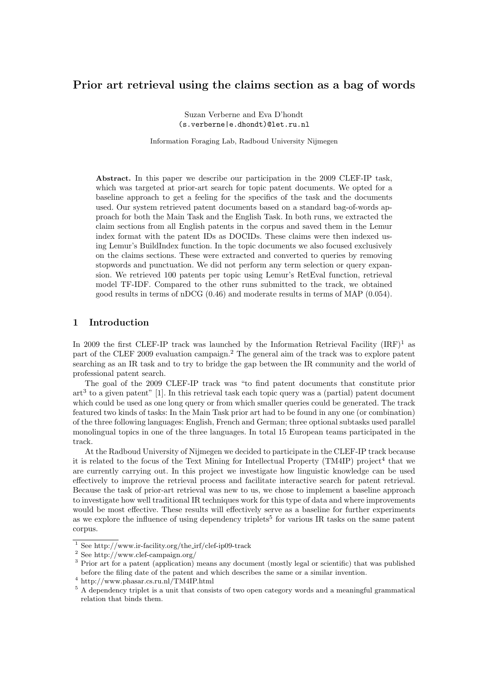# Prior art retrieval using the claims section as a bag of words

Suzan Verberne and Eva D'hondt (s.verberne|e.dhondt)@let.ru.nl

Information Foraging Lab, Radboud University Nijmegen

Abstract. In this paper we describe our participation in the 2009 CLEF-IP task, which was targeted at prior-art search for topic patent documents. We opted for a baseline approach to get a feeling for the specifics of the task and the documents used. Our system retrieved patent documents based on a standard bag-of-words approach for both the Main Task and the English Task. In both runs, we extracted the claim sections from all English patents in the corpus and saved them in the Lemur index format with the patent IDs as DOCIDs. These claims were then indexed using Lemur's BuildIndex function. In the topic documents we also focused exclusively on the claims sections. These were extracted and converted to queries by removing stopwords and punctuation. We did not perform any term selection or query expansion. We retrieved 100 patents per topic using Lemur's RetEval function, retrieval model TF-IDF. Compared to the other runs submitted to the track, we obtained good results in terms of nDCG (0.46) and moderate results in terms of MAP (0.054).

# 1 Introduction

In 2009 the first CLEF-IP track was launched by the Information Retrieval Facility  $(IRF)^1$  as part of the CLEF 2009 evaluation campaign.<sup>2</sup> The general aim of the track was to explore patent searching as an IR task and to try to bridge the gap between the IR community and the world of professional patent search.

The goal of the 2009 CLEF-IP track was "to find patent documents that constitute prior art<sup>3</sup> to a given patent" [1]. In this retrieval task each topic query was a (partial) patent document which could be used as one long query or from which smaller queries could be generated. The track featured two kinds of tasks: In the Main Task prior art had to be found in any one (or combination) of the three following languages: English, French and German; three optional subtasks used parallel monolingual topics in one of the three languages. In total 15 European teams participated in the track.

At the Radboud University of Nijmegen we decided to participate in the CLEF-IP track because it is related to the focus of the Text Mining for Intellectual Property (TM4IP) project<sup>4</sup> that we are currently carrying out. In this project we investigate how linguistic knowledge can be used effectively to improve the retrieval process and facilitate interactive search for patent retrieval. Because the task of prior-art retrieval was new to us, we chose to implement a baseline approach to investigate how well traditional IR techniques work for this type of data and where improvements would be most effective. These results will effectively serve as a baseline for further experiments as we explore the influence of using dependency triplets<sup>5</sup> for various IR tasks on the same patent corpus.

<sup>&</sup>lt;sup>1</sup> See http://www.ir-facility.org/the\_irf/clef-ip09-track

 $^2$  See http://www.clef-campaign.org/  $\,$ 

<sup>3</sup> Prior art for a patent (application) means any document (mostly legal or scientific) that was published before the filing date of the patent and which describes the same or a similar invention.

<sup>4</sup> http://www.phasar.cs.ru.nl/TM4IP.html

<sup>5</sup> A dependency triplet is a unit that consists of two open category words and a meaningful grammatical relation that binds them.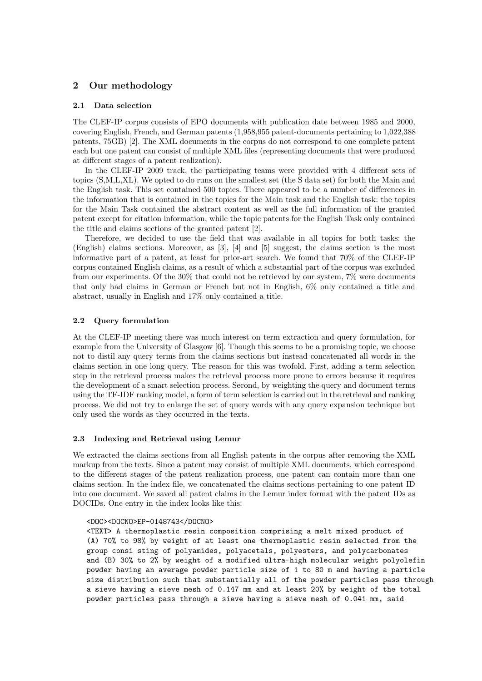### 2 Our methodology

#### 2.1 Data selection

The CLEF-IP corpus consists of EPO documents with publication date between 1985 and 2000, covering English, French, and German patents (1,958,955 patent-documents pertaining to 1,022,388 patents, 75GB) [2]. The XML documents in the corpus do not correspond to one complete patent each but one patent can consist of multiple XML files (representing documents that were produced at different stages of a patent realization).

In the CLEF-IP 2009 track, the participating teams were provided with 4 different sets of topics (S,M,L,XL). We opted to do runs on the smallest set (the S data set) for both the Main and the English task. This set contained 500 topics. There appeared to be a number of differences in the information that is contained in the topics for the Main task and the English task: the topics for the Main Task contained the abstract content as well as the full information of the granted patent except for citation information, while the topic patents for the English Task only contained the title and claims sections of the granted patent [2].

Therefore, we decided to use the field that was available in all topics for both tasks: the (English) claims sections. Moreover, as [3], [4] and [5] suggest, the claims section is the most informative part of a patent, at least for prior-art search. We found that 70% of the CLEF-IP corpus contained English claims, as a result of which a substantial part of the corpus was excluded from our experiments. Of the 30% that could not be retrieved by our system, 7% were documents that only had claims in German or French but not in English, 6% only contained a title and abstract, usually in English and 17% only contained a title.

#### 2.2 Query formulation

At the CLEF-IP meeting there was much interest on term extraction and query formulation, for example from the University of Glasgow [6]. Though this seems to be a promising topic, we choose not to distil any query terms from the claims sections but instead concatenated all words in the claims section in one long query. The reason for this was twofold. First, adding a term selection step in the retrieval process makes the retrieval process more prone to errors because it requires the development of a smart selection process. Second, by weighting the query and document terms using the TF-IDF ranking model, a form of term selection is carried out in the retrieval and ranking process. We did not try to enlarge the set of query words with any query expansion technique but only used the words as they occurred in the texts.

#### 2.3 Indexing and Retrieval using Lemur

We extracted the claims sections from all English patents in the corpus after removing the XML markup from the texts. Since a patent may consist of multiple XML documents, which correspond to the different stages of the patent realization process, one patent can contain more than one claims section. In the index file, we concatenated the claims sections pertaining to one patent ID into one document. We saved all patent claims in the Lemur index format with the patent IDs as DOCIDs. One entry in the index looks like this:

#### <DOC><DOCNO>EP-0148743</DOCNO>

<TEXT> A thermoplastic resin composition comprising a melt mixed product of (A) 70% to 98% by weight of at least one thermoplastic resin selected from the group consi sting of polyamides, polyacetals, polyesters, and polycarbonates and (B) 30% to 2% by weight of a modified ultra-high molecular weight polyolefin powder having an average powder particle size of 1 to 80 m and having a particle size distribution such that substantially all of the powder particles pass through a sieve having a sieve mesh of 0.147 mm and at least 20% by weight of the total powder particles pass through a sieve having a sieve mesh of 0.041 mm, said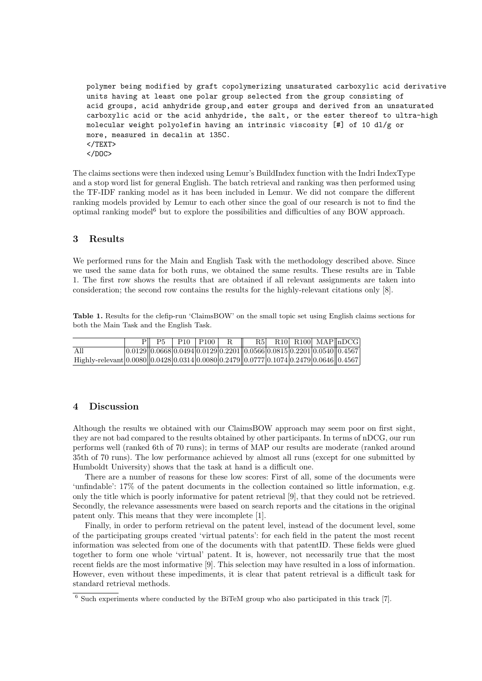polymer being modified by graft copolymerizing unsaturated carboxylic acid derivative units having at least one polar group selected from the group consisting of acid groups, acid anhydride group,and ester groups and derived from an unsaturated carboxylic acid or the acid anhydride, the salt, or the ester thereof to ultra-high molecular weight polyolefin having an intrinsic viscosity [#] of 10 dl/g or more, measured in decalin at 135C. </TEXT>  $<$ /DOC $>$ 

The claims sections were then indexed using Lemur's BuildIndex function with the Indri IndexType and a stop word list for general English. The batch retrieval and ranking was then performed using the TF-IDF ranking model as it has been included in Lemur. We did not compare the different ranking models provided by Lemur to each other since the goal of our research is not to find the optimal ranking model<sup>6</sup> but to explore the possibilities and difficulties of any BOW approach.

## 3 Results

We performed runs for the Main and English Task with the methodology described above. Since we used the same data for both runs, we obtained the same results. These results are in Table 1. The first row shows the results that are obtained if all relevant assignments are taken into consideration; the second row contains the results for the highly-relevant citations only [8].

Table 1. Results for the clefip-run 'ClaimsBOW' on the small topic set using English claims sections for both the Main Task and the English Task.

|                                                                                              | P   P5   P10   P100   R |  |  |  | $R5$ R10 R100 MAP nDCG                                                    |
|----------------------------------------------------------------------------------------------|-------------------------|--|--|--|---------------------------------------------------------------------------|
| All                                                                                          |                         |  |  |  | $ 0.0129 0.0668 0.0494 0.0129 0.2201 0.0566 0.0815 0.2201 0.0540 0.4567 $ |
| Highly-relevant $[0.0080  0.0428 0.0314 0.0080 0.2479  0.0777 0.1074 0.2479 0.0646  0.4567]$ |                         |  |  |  |                                                                           |

### 4 Discussion

Although the results we obtained with our ClaimsBOW approach may seem poor on first sight, they are not bad compared to the results obtained by other participants. In terms of nDCG, our run performs well (ranked 6th of 70 runs); in terms of MAP our results are moderate (ranked around 35th of 70 runs). The low performance achieved by almost all runs (except for one submitted by Humboldt University) shows that the task at hand is a difficult one.

There are a number of reasons for these low scores: First of all, some of the documents were 'unfindable': 17% of the patent documents in the collection contained so little information, e.g. only the title which is poorly informative for patent retrieval [9], that they could not be retrieved. Secondly, the relevance assessments were based on search reports and the citations in the original patent only. This means that they were incomplete [1].

Finally, in order to perform retrieval on the patent level, instead of the document level, some of the participating groups created 'virtual patents': for each field in the patent the most recent information was selected from one of the documents with that patentID. These fields were glued together to form one whole 'virtual' patent. It is, however, not necessarily true that the most recent fields are the most informative [9]. This selection may have resulted in a loss of information. However, even without these impediments, it is clear that patent retrieval is a difficult task for standard retrieval methods.

 $6$  Such experiments where conducted by the BiTeM group who also participated in this track [7].